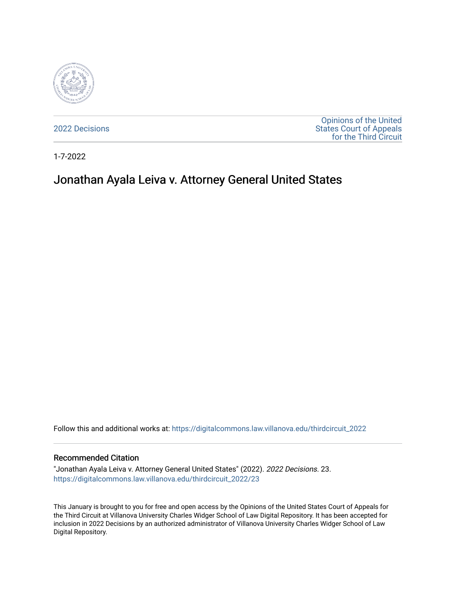

[2022 Decisions](https://digitalcommons.law.villanova.edu/thirdcircuit_2022)

[Opinions of the United](https://digitalcommons.law.villanova.edu/thirdcircuit)  [States Court of Appeals](https://digitalcommons.law.villanova.edu/thirdcircuit)  [for the Third Circuit](https://digitalcommons.law.villanova.edu/thirdcircuit) 

1-7-2022

# Jonathan Ayala Leiva v. Attorney General United States

Follow this and additional works at: [https://digitalcommons.law.villanova.edu/thirdcircuit\\_2022](https://digitalcommons.law.villanova.edu/thirdcircuit_2022?utm_source=digitalcommons.law.villanova.edu%2Fthirdcircuit_2022%2F23&utm_medium=PDF&utm_campaign=PDFCoverPages) 

#### Recommended Citation

"Jonathan Ayala Leiva v. Attorney General United States" (2022). 2022 Decisions. 23. [https://digitalcommons.law.villanova.edu/thirdcircuit\\_2022/23](https://digitalcommons.law.villanova.edu/thirdcircuit_2022/23?utm_source=digitalcommons.law.villanova.edu%2Fthirdcircuit_2022%2F23&utm_medium=PDF&utm_campaign=PDFCoverPages)

This January is brought to you for free and open access by the Opinions of the United States Court of Appeals for the Third Circuit at Villanova University Charles Widger School of Law Digital Repository. It has been accepted for inclusion in 2022 Decisions by an authorized administrator of Villanova University Charles Widger School of Law Digital Repository.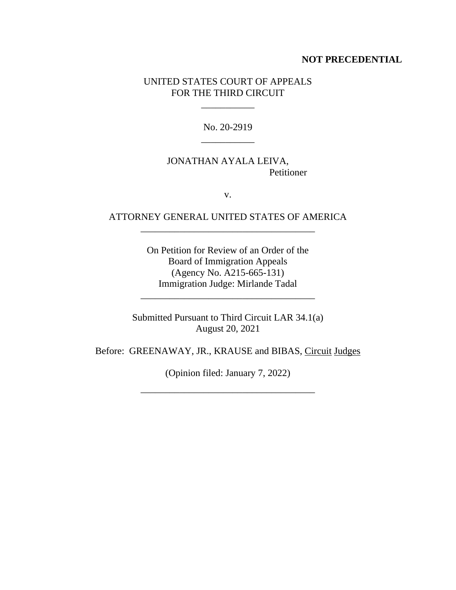## **NOT PRECEDENTIAL**

## UNITED STATES COURT OF APPEALS FOR THE THIRD CIRCUIT

\_\_\_\_\_\_\_\_\_\_\_

No. 20-2919 \_\_\_\_\_\_\_\_\_\_\_

# JONATHAN AYALA LEIVA, Petitioner

v.

# ATTORNEY GENERAL UNITED STATES OF AMERICA \_\_\_\_\_\_\_\_\_\_\_\_\_\_\_\_\_\_\_\_\_\_\_\_\_\_\_\_\_\_\_\_\_\_\_\_

On Petition for Review of an Order of the Board of Immigration Appeals (Agency No. A215-665-131) Immigration Judge: Mirlande Tadal

Submitted Pursuant to Third Circuit LAR 34.1(a) August 20, 2021

\_\_\_\_\_\_\_\_\_\_\_\_\_\_\_\_\_\_\_\_\_\_\_\_\_\_\_\_\_\_\_\_\_\_\_\_

Before: GREENAWAY, JR., KRAUSE and BIBAS, Circuit Judges

(Opinion filed: January 7, 2022)

\_\_\_\_\_\_\_\_\_\_\_\_\_\_\_\_\_\_\_\_\_\_\_\_\_\_\_\_\_\_\_\_\_\_\_\_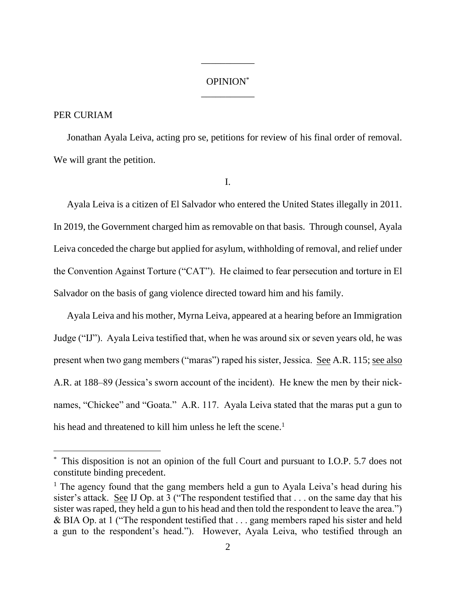# OPINION\* \_\_\_\_\_\_\_\_\_\_\_

\_\_\_\_\_\_\_\_\_\_\_

#### PER CURIAM

Jonathan Ayala Leiva, acting pro se, petitions for review of his final order of removal. We will grant the petition.

I.

Ayala Leiva is a citizen of El Salvador who entered the United States illegally in 2011. In 2019, the Government charged him as removable on that basis. Through counsel, Ayala Leiva conceded the charge but applied for asylum, withholding of removal, and relief under the Convention Against Torture ("CAT"). He claimed to fear persecution and torture in El Salvador on the basis of gang violence directed toward him and his family.

Ayala Leiva and his mother, Myrna Leiva, appeared at a hearing before an Immigration Judge ("IJ"). Ayala Leiva testified that, when he was around six or seven years old, he was present when two gang members ("maras") raped his sister, Jessica. See A.R. 115; see also A.R. at 188–89 (Jessica's sworn account of the incident). He knew the men by their nicknames, "Chickee" and "Goata." A.R. 117. Ayala Leiva stated that the maras put a gun to his head and threatened to kill him unless he left the scene.<sup>1</sup>

<sup>\*</sup> This disposition is not an opinion of the full Court and pursuant to I.O.P. 5.7 does not constitute binding precedent.

<sup>&</sup>lt;sup>1</sup> The agency found that the gang members held a gun to Ayala Leiva's head during his sister's attack. See IJ Op. at 3 ("The respondent testified that . . . on the same day that his sister was raped, they held a gun to his head and then told the respondent to leave the area.") & BIA Op. at 1 ("The respondent testified that . . . gang members raped his sister and held a gun to the respondent's head."). However, Ayala Leiva, who testified through an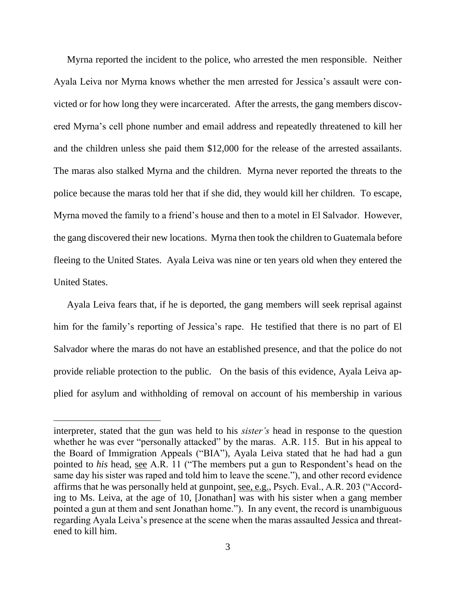Myrna reported the incident to the police, who arrested the men responsible. Neither Ayala Leiva nor Myrna knows whether the men arrested for Jessica's assault were convicted or for how long they were incarcerated. After the arrests, the gang members discovered Myrna's cell phone number and email address and repeatedly threatened to kill her and the children unless she paid them \$12,000 for the release of the arrested assailants. The maras also stalked Myrna and the children. Myrna never reported the threats to the police because the maras told her that if she did, they would kill her children. To escape, Myrna moved the family to a friend's house and then to a motel in El Salvador. However, the gang discovered their new locations. Myrna then took the children to Guatemala before fleeing to the United States. Ayala Leiva was nine or ten years old when they entered the United States.

Ayala Leiva fears that, if he is deported, the gang members will seek reprisal against him for the family's reporting of Jessica's rape. He testified that there is no part of El Salvador where the maras do not have an established presence, and that the police do not provide reliable protection to the public. On the basis of this evidence, Ayala Leiva applied for asylum and withholding of removal on account of his membership in various

interpreter, stated that the gun was held to his *sister's* head in response to the question whether he was ever "personally attacked" by the maras. A.R. 115. But in his appeal to the Board of Immigration Appeals ("BIA"), Ayala Leiva stated that he had had a gun pointed to *his* head, see A.R. 11 ("The members put a gun to Respondent's head on the same day his sister was raped and told him to leave the scene."), and other record evidence affirms that he was personally held at gunpoint, see, e.g., Psych. Eval., A.R. 203 ("According to Ms. Leiva, at the age of 10, [Jonathan] was with his sister when a gang member pointed a gun at them and sent Jonathan home."). In any event, the record is unambiguous regarding Ayala Leiva's presence at the scene when the maras assaulted Jessica and threatened to kill him.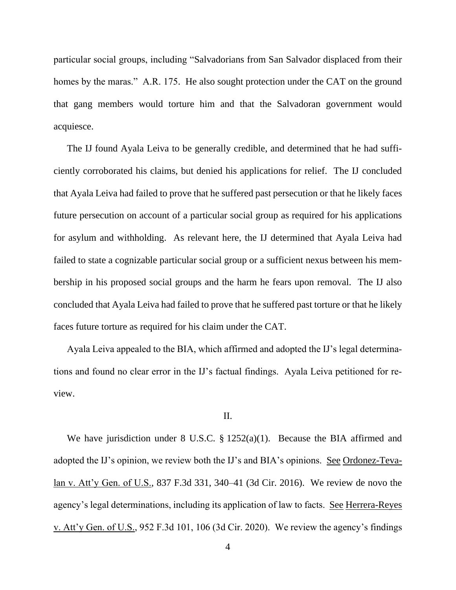particular social groups, including "Salvadorians from San Salvador displaced from their homes by the maras." A.R. 175. He also sought protection under the CAT on the ground that gang members would torture him and that the Salvadoran government would acquiesce.

The IJ found Ayala Leiva to be generally credible, and determined that he had sufficiently corroborated his claims, but denied his applications for relief. The IJ concluded that Ayala Leiva had failed to prove that he suffered past persecution or that he likely faces future persecution on account of a particular social group as required for his applications for asylum and withholding. As relevant here, the IJ determined that Ayala Leiva had failed to state a cognizable particular social group or a sufficient nexus between his membership in his proposed social groups and the harm he fears upon removal. The IJ also concluded that Ayala Leiva had failed to prove that he suffered past torture or that he likely faces future torture as required for his claim under the CAT.

Ayala Leiva appealed to the BIA, which affirmed and adopted the IJ's legal determinations and found no clear error in the IJ's factual findings. Ayala Leiva petitioned for review.

#### II.

We have jurisdiction under 8 U.S.C. § 1252(a)(1). Because the BIA affirmed and adopted the IJ's opinion, we review both the IJ's and BIA's opinions. See Ordonez-Tevalan v. Att'y Gen. of U.S., 837 F.3d 331, 340–41 (3d Cir. 2016). We review de novo the agency's legal determinations, including its application of law to facts. See Herrera-Reyes v. Att'y Gen. of U.S., 952 F.3d 101, 106 (3d Cir. 2020). We review the agency's findings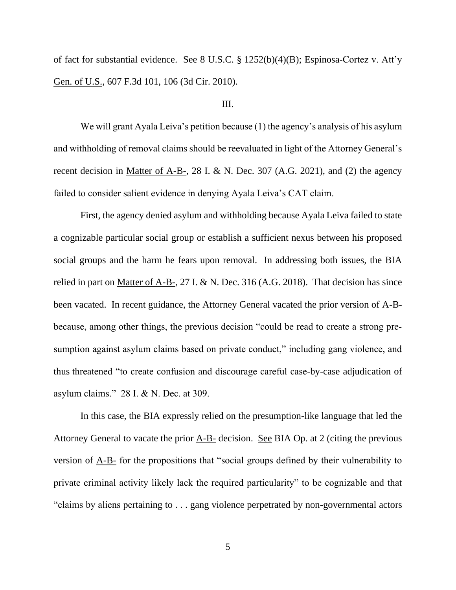of fact for substantial evidence. See 8 U.S.C. § 1252(b)(4)(B); Espinosa-Cortez v. Att'y Gen. of U.S., 607 F.3d 101, 106 (3d Cir. 2010).

## III.

We will grant Ayala Leiva's petition because (1) the agency's analysis of his asylum and withholding of removal claims should be reevaluated in light of the Attorney General's recent decision in Matter of A-B-, 28 I. & N. Dec. 307 (A.G. 2021), and (2) the agency failed to consider salient evidence in denying Ayala Leiva's CAT claim.

First, the agency denied asylum and withholding because Ayala Leiva failed to state a cognizable particular social group or establish a sufficient nexus between his proposed social groups and the harm he fears upon removal. In addressing both issues, the BIA relied in part on Matter of A-B-, 27 I. & N. Dec. 316 (A.G. 2018). That decision has since been vacated. In recent guidance, the Attorney General vacated the prior version of A-Bbecause, among other things, the previous decision "could be read to create a strong presumption against asylum claims based on private conduct," including gang violence, and thus threatened "to create confusion and discourage careful case-by-case adjudication of asylum claims." 28 I. & N. Dec. at 309.

In this case, the BIA expressly relied on the presumption-like language that led the Attorney General to vacate the prior A-B- decision. See BIA Op. at 2 (citing the previous version of A-B- for the propositions that "social groups defined by their vulnerability to private criminal activity likely lack the required particularity" to be cognizable and that "claims by aliens pertaining to . . . gang violence perpetrated by non-governmental actors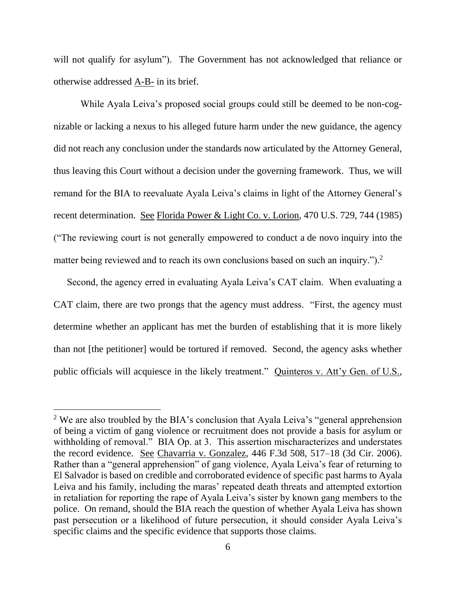will not qualify for asylum"). The Government has not acknowledged that reliance or otherwise addressed A-B- in its brief.

While Ayala Leiva's proposed social groups could still be deemed to be non-cognizable or lacking a nexus to his alleged future harm under the new guidance, the agency did not reach any conclusion under the standards now articulated by the Attorney General, thus leaving this Court without a decision under the governing framework. Thus, we will remand for the BIA to reevaluate Ayala Leiva's claims in light of the Attorney General's recent determination. See Florida Power & Light Co. v. Lorion, 470 U.S. 729, 744 (1985) ("The reviewing court is not generally empowered to conduct a de novo inquiry into the matter being reviewed and to reach its own conclusions based on such an inquiry.").<sup>2</sup>

Second, the agency erred in evaluating Ayala Leiva's CAT claim. When evaluating a CAT claim, there are two prongs that the agency must address. "First, the agency must determine whether an applicant has met the burden of establishing that it is more likely than not [the petitioner] would be tortured if removed. Second, the agency asks whether public officials will acquiesce in the likely treatment." Quinteros v. Att'y Gen. of U.S.,

<sup>&</sup>lt;sup>2</sup> We are also troubled by the BIA's conclusion that Ayala Leiva's "general apprehension of being a victim of gang violence or recruitment does not provide a basis for asylum or withholding of removal." BIA Op. at 3. This assertion mischaracterizes and understates the record evidence. See Chavarria v. Gonzalez, 446 F.3d 508, 517–18 (3d Cir. 2006). Rather than a "general apprehension" of gang violence, Ayala Leiva's fear of returning to El Salvador is based on credible and corroborated evidence of specific past harms to Ayala Leiva and his family, including the maras' repeated death threats and attempted extortion in retaliation for reporting the rape of Ayala Leiva's sister by known gang members to the police. On remand, should the BIA reach the question of whether Ayala Leiva has shown past persecution or a likelihood of future persecution, it should consider Ayala Leiva's specific claims and the specific evidence that supports those claims.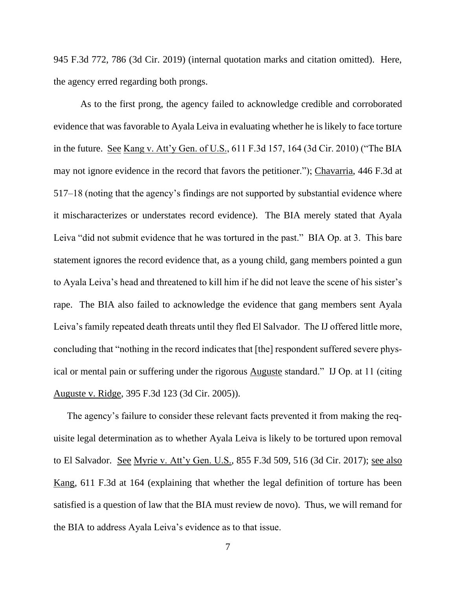945 F.3d 772, 786 (3d Cir. 2019) (internal quotation marks and citation omitted). Here, the agency erred regarding both prongs.

As to the first prong, the agency failed to acknowledge credible and corroborated evidence that was favorable to Ayala Leiva in evaluating whether he is likely to face torture in the future. See Kang v. Att'y Gen. of U.S., 611 F.3d 157, 164 (3d Cir. 2010) ("The BIA may not ignore evidence in the record that favors the petitioner."); Chavarria, 446 F.3d at 517–18 (noting that the agency's findings are not supported by substantial evidence where it mischaracterizes or understates record evidence). The BIA merely stated that Ayala Leiva "did not submit evidence that he was tortured in the past." BIA Op. at 3. This bare statement ignores the record evidence that, as a young child, gang members pointed a gun to Ayala Leiva's head and threatened to kill him if he did not leave the scene of his sister's rape. The BIA also failed to acknowledge the evidence that gang members sent Ayala Leiva's family repeated death threats until they fled El Salvador. The IJ offered little more, concluding that "nothing in the record indicates that [the] respondent suffered severe physical or mental pain or suffering under the rigorous Auguste standard." IJ Op. at 11 (citing Auguste v. Ridge, 395 F.3d 123 (3d Cir. 2005)).

The agency's failure to consider these relevant facts prevented it from making the requisite legal determination as to whether Ayala Leiva is likely to be tortured upon removal to El Salvador. See Myrie v. Att'y Gen. U.S., 855 F.3d 509, 516 (3d Cir. 2017); see also Kang, 611 F.3d at 164 (explaining that whether the legal definition of torture has been satisfied is a question of law that the BIA must review de novo). Thus, we will remand for the BIA to address Ayala Leiva's evidence as to that issue.